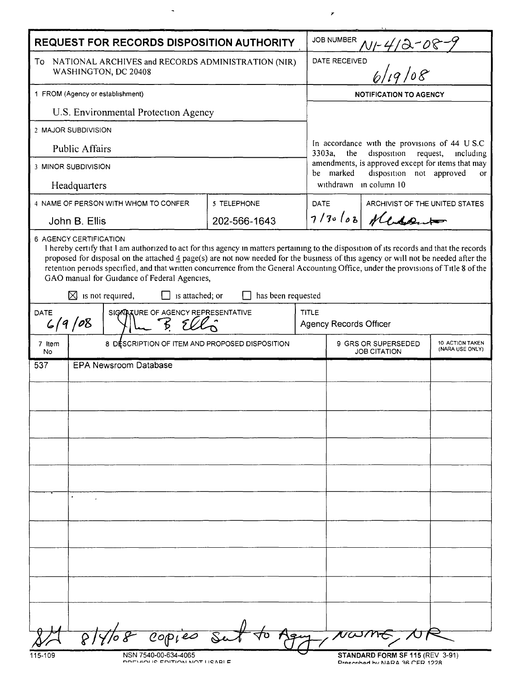| <b>REQUEST FOR RECORDS DISPOSITION AUTHORITY</b>                                                                                                                                                                                                                                                                                                                                                                                                                                                                                                                                                                           |              |             | <b>JOB NUMBER</b>                                                                                                                                                                                       |  |  |
|----------------------------------------------------------------------------------------------------------------------------------------------------------------------------------------------------------------------------------------------------------------------------------------------------------------------------------------------------------------------------------------------------------------------------------------------------------------------------------------------------------------------------------------------------------------------------------------------------------------------------|--------------|-------------|---------------------------------------------------------------------------------------------------------------------------------------------------------------------------------------------------------|--|--|
| To NATIONAL ARCHIVES and RECORDS ADMINISTRATION (NIR)<br>WASHINGTON, DC 20408                                                                                                                                                                                                                                                                                                                                                                                                                                                                                                                                              |              |             | $\frac{N1 - \frac{4}{3} - 08 - 0}{6/19}$<br>DATE RECEIVED                                                                                                                                               |  |  |
| 1 FROM (Agency or establishment)                                                                                                                                                                                                                                                                                                                                                                                                                                                                                                                                                                                           |              |             | <b>NOTIFICATION TO AGENCY</b>                                                                                                                                                                           |  |  |
| U.S. Environmental Protection Agency                                                                                                                                                                                                                                                                                                                                                                                                                                                                                                                                                                                       |              |             |                                                                                                                                                                                                         |  |  |
| 2 MAJOR SUBDIVISION                                                                                                                                                                                                                                                                                                                                                                                                                                                                                                                                                                                                        |              |             |                                                                                                                                                                                                         |  |  |
| <b>Public Affairs</b>                                                                                                                                                                                                                                                                                                                                                                                                                                                                                                                                                                                                      |              | 3303a,      | In accordance with the provisions of 44 U S.C<br>the<br>disposition<br>request,<br>including<br>amendments, is approved except for items that may<br>be marked<br>disposition not approved<br><b>or</b> |  |  |
| 3 MINOR SUBDIVISION                                                                                                                                                                                                                                                                                                                                                                                                                                                                                                                                                                                                        |              |             |                                                                                                                                                                                                         |  |  |
| Headquarters                                                                                                                                                                                                                                                                                                                                                                                                                                                                                                                                                                                                               |              |             | withdrawn in column 10                                                                                                                                                                                  |  |  |
| 4 NAME OF PERSON WITH WHOM TO CONFER                                                                                                                                                                                                                                                                                                                                                                                                                                                                                                                                                                                       | 5 TELEPHONE  | <b>DATE</b> | ARCHIVIST OF THE UNITED STATES                                                                                                                                                                          |  |  |
| John B. Ellis                                                                                                                                                                                                                                                                                                                                                                                                                                                                                                                                                                                                              | 202-566-1643 |             | $7/30108$ Necessart                                                                                                                                                                                     |  |  |
| I hereby certify that I am authorized to act for this agency in matters pertaining to the disposition of its records and that the records<br>proposed for disposal on the attached $\frac{4}{9}$ page(s) are not now needed for the business of this agency or will not be needed after the<br>retention periods specified, and that written concurrence from the General Accounting Office, under the provisions of Title 8 of the<br>GAO manual for Guidance of Federal Agencies,<br>⊠<br>is not required,<br>is attached; or<br>has been requested<br>SIGNATURE OF AGENCY REPRESENTATIVE<br><b>TITLE</b><br><b>DATE</b> |              |             |                                                                                                                                                                                                         |  |  |
| 6/9/08                                                                                                                                                                                                                                                                                                                                                                                                                                                                                                                                                                                                                     |              |             | <b>Agency Records Officer</b>                                                                                                                                                                           |  |  |
| 8 DESCRIPTION OF ITEM AND PROPOSED DISPOSITION<br>7 Item<br>No.                                                                                                                                                                                                                                                                                                                                                                                                                                                                                                                                                            |              |             | 9 GRS OR SUPERSEDED<br>10 ACTION TAKEN<br>(NARA USE ONLY)<br><b>JOB CITATION</b>                                                                                                                        |  |  |
| <b>EPA Newsroom Database</b><br>537                                                                                                                                                                                                                                                                                                                                                                                                                                                                                                                                                                                        |              |             |                                                                                                                                                                                                         |  |  |
|                                                                                                                                                                                                                                                                                                                                                                                                                                                                                                                                                                                                                            |              |             |                                                                                                                                                                                                         |  |  |
|                                                                                                                                                                                                                                                                                                                                                                                                                                                                                                                                                                                                                            |              |             |                                                                                                                                                                                                         |  |  |
|                                                                                                                                                                                                                                                                                                                                                                                                                                                                                                                                                                                                                            |              |             |                                                                                                                                                                                                         |  |  |
|                                                                                                                                                                                                                                                                                                                                                                                                                                                                                                                                                                                                                            |              |             |                                                                                                                                                                                                         |  |  |
|                                                                                                                                                                                                                                                                                                                                                                                                                                                                                                                                                                                                                            |              |             |                                                                                                                                                                                                         |  |  |
|                                                                                                                                                                                                                                                                                                                                                                                                                                                                                                                                                                                                                            |              |             |                                                                                                                                                                                                         |  |  |
| $\ddot{\phantom{0}}$                                                                                                                                                                                                                                                                                                                                                                                                                                                                                                                                                                                                       |              |             |                                                                                                                                                                                                         |  |  |
|                                                                                                                                                                                                                                                                                                                                                                                                                                                                                                                                                                                                                            |              |             |                                                                                                                                                                                                         |  |  |
|                                                                                                                                                                                                                                                                                                                                                                                                                                                                                                                                                                                                                            |              |             |                                                                                                                                                                                                         |  |  |
|                                                                                                                                                                                                                                                                                                                                                                                                                                                                                                                                                                                                                            |              |             |                                                                                                                                                                                                         |  |  |
|                                                                                                                                                                                                                                                                                                                                                                                                                                                                                                                                                                                                                            |              |             |                                                                                                                                                                                                         |  |  |
|                                                                                                                                                                                                                                                                                                                                                                                                                                                                                                                                                                                                                            |              |             |                                                                                                                                                                                                         |  |  |
|                                                                                                                                                                                                                                                                                                                                                                                                                                                                                                                                                                                                                            |              |             |                                                                                                                                                                                                         |  |  |
| $708$ Copies                                                                                                                                                                                                                                                                                                                                                                                                                                                                                                                                                                                                               |              |             |                                                                                                                                                                                                         |  |  |
| STANDARD FORM SF 115 (REV 3-91)<br>115-109<br>NSN 7540-00-634-4065<br>DOEVIOUS EDITION NOT HOARLE<br>Dreecribed by NARA 36 CER 1998                                                                                                                                                                                                                                                                                                                                                                                                                                                                                        |              |             |                                                                                                                                                                                                         |  |  |

 $\langle \mathbf{A} \rangle$  .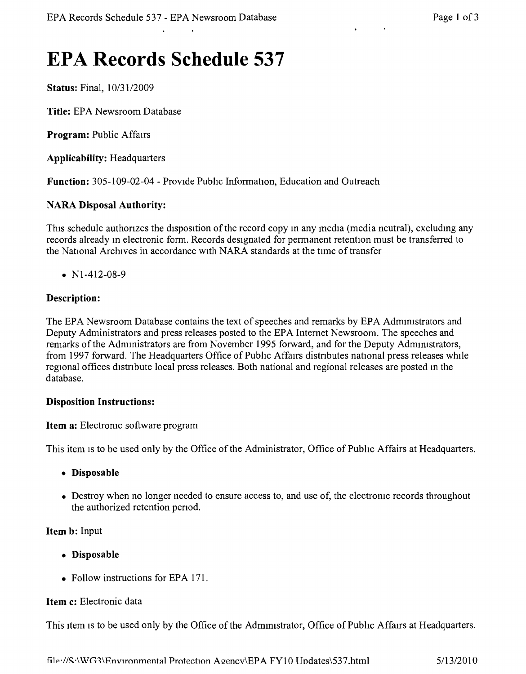# **EPA Records Schedule 537**

**Status:** Final,  $10/31/2009$ 

**Title:** EPA Newsroom Database

**Program:** Public Affairs

**Applicability:** Headquarters

**Function:** 305-109-02-04 - Provide Public Information, Education and Outreach

# **NARA Disposal Authority:**

This schedule authorizes the disposition of the record copy in any media (media neutral), excluding any records already in electronic form. Records designated for permanent retention must be transferred to the National Archives in accordance with NARA standards at the time of transfer

•  $N1-412-08-9$ 

# **Description:**

The EPA Newsroom Database contains the text of speeches and remarks by EPA Administrators and Deputy Administrators and press releases posted to the EPA Internet Newsroom. The speeches and remarks of the Administrators are from November 1995 forward, and for the Deputy Adrmmstrators, from 1997 forward. The Headquarters Office of Public Affairs distnbutes national press releases while regional offices distribute local press releases. Both national and regional releases are posted in the database.

## **Disposition Instructions:**

**Item a:** Electromc software program

This item is to be used only by the Office of the Administrator, Office of Public Affairs at Headquarters.

- **• Disposable**
- Destroy when no longer needed to ensure access to, and use of, the electronic records throughout the authorized retention penod.

# **Item b:** Input

- **• Disposable**
- Follow instructions for EPA 171.

#### **Item c:** Electronic data

This item is to be used only by the Office of the Administrator, Office of Public Affairs at Headquarters.

filf"//~'\WG1\Fnvlronmentlll Protection Azencv'El''A FYIO Undates\537.html *5/13/2010*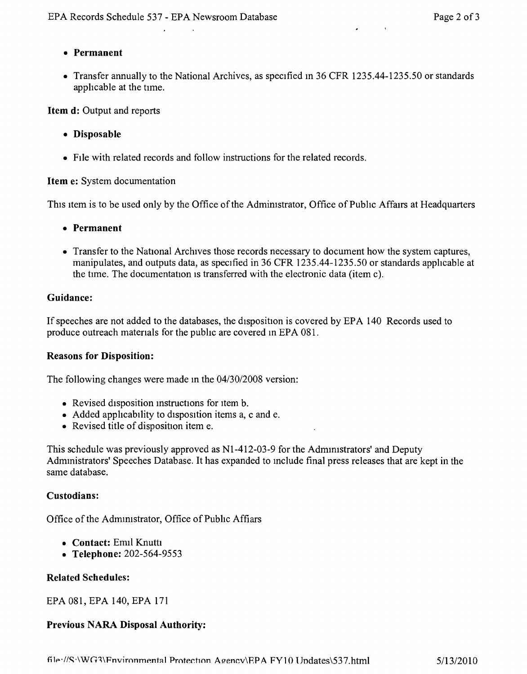$\mathbf{r}$  ,  $\mathbf{r}$  ,  $\mathbf{r}$ 

 $\mathbf{r}$ 

# **• Permanent**

• Transfer annually to the National Archives, as specified in 36 CFR 1235.44-1235.50 or standards apphcable at the time.

**Item d:** Output and reports

- **• Disposable**
- FIle with related records and follow instructions for the related records.

## **Item** e: System documentation

This item is to be used only by the Office of the Administrator, Office of Public Affairs at Headquarters

- **• Permanent**
- Transfer to the National Archives those records necessary to document how the system captures, manipulates, and outputs data, as specified in 36 CFR 1235.44-1235.50 or standards apphcable at the time. The documentation is transferred with the electronic data (item c).

## **Guidance:**

If speeches are not added to the databases, the disposition is covered by EPA 140 Records used to produce outreach matenals for the pubhc are covered m EPA 081.

#### **Reasons for Disposition:**

The following changes were made in the  $04/30/2008$  version:

- Revised disposition instructions for item b.
- Added applicability to disposition items a, c and e.
- Revised title of disposition item e.

This schedule was previously approved as N1-412-03-9 for the Administrators' and Deputy Admmistrators' Speeches Database. It has expanded to mclude final press releases that are kept in the same database.

#### **Custodians:**

Office of the Administrator, Office of Public Affiars

- **• Contact:** Emil Knutti
- **• Telephone:** 202-564-9553

# **Related Schedules:**

EPA 081, EPA 140, EPA 171

# **Previous NARA Disposal Authority:**